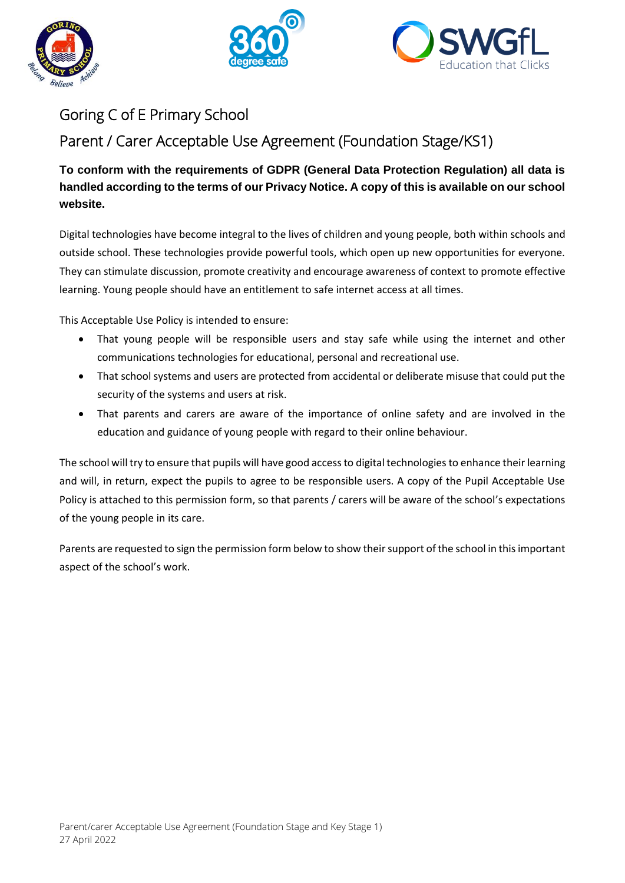





## Goring C of E Primary School

Parent / Carer Acceptable Use Agreement (Foundation Stage/KS1)

**To conform with the requirements of GDPR (General Data Protection Regulation) all data is handled according to the terms of our Privacy Notice. A copy of this is available on our school website.** 

Digital technologies have become integral to the lives of children and young people, both within schools and outside school. These technologies provide powerful tools, which open up new opportunities for everyone. They can stimulate discussion, promote creativity and encourage awareness of context to promote effective learning. Young people should have an entitlement to safe internet access at all times.

This Acceptable Use Policy is intended to ensure:

- That young people will be responsible users and stay safe while using the internet and other communications technologies for educational, personal and recreational use.
- That school systems and users are protected from accidental or deliberate misuse that could put the security of the systems and users at risk.
- That parents and carers are aware of the importance of online safety and are involved in the education and guidance of young people with regard to their online behaviour.

The school will try to ensure that pupils will have good access to digital technologies to enhance their learning and will, in return, expect the pupils to agree to be responsible users. A copy of the Pupil Acceptable Use Policy is attached to this permission form, so that parents / carers will be aware of the school's expectations of the young people in its care.

Parents are requested to sign the permission form below to show their support of the school in this important aspect of the school's work.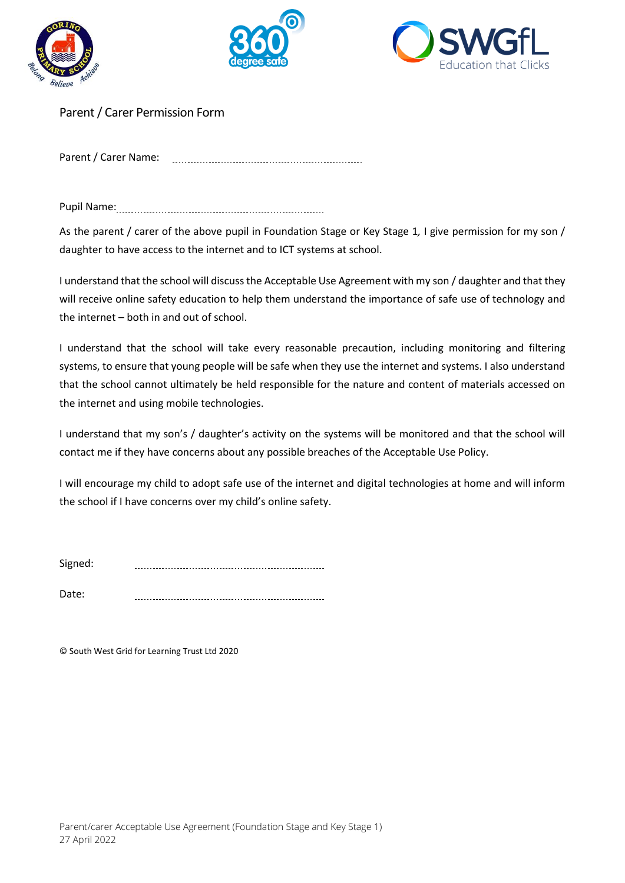





Parent / Carer Permission Form

Parent / Carer Name: 

Pupil Name:

As the parent / carer of the above pupil in Foundation Stage or Key Stage 1*,* I give permission for my son / daughter to have access to the internet and to ICT systems at school.

I understand that the school will discuss the Acceptable Use Agreement with my son / daughter and that they will receive online safety education to help them understand the importance of safe use of technology and the internet – both in and out of school.

I understand that the school will take every reasonable precaution, including monitoring and filtering systems, to ensure that young people will be safe when they use the internet and systems. I also understand that the school cannot ultimately be held responsible for the nature and content of materials accessed on the internet and using mobile technologies.

I understand that my son's / daughter's activity on the systems will be monitored and that the school will contact me if they have concerns about any possible breaches of the Acceptable Use Policy.

I will encourage my child to adopt safe use of the internet and digital technologies at home and will inform the school if I have concerns over my child's online safety.

Signed: 

Date: 

© South West Grid for Learning Trust Ltd 2020